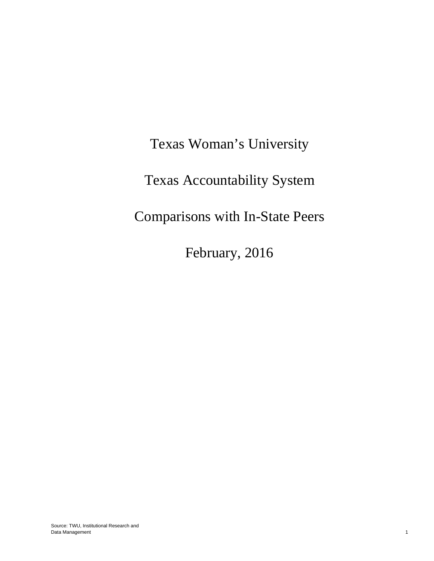Texas Woman's University Texas Accountability System Comparisons with In-State Peers

February, 2016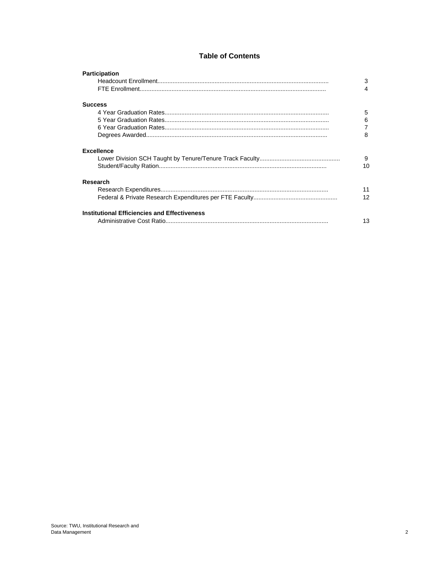#### **Table of Contents**

| <b>Participation</b>                                | 3<br>4  |
|-----------------------------------------------------|---------|
| <b>Success</b>                                      |         |
|                                                     | 5       |
|                                                     | 6       |
|                                                     | 7       |
|                                                     | 8       |
| <b>Excellence</b>                                   | 9<br>10 |
| Research                                            |         |
|                                                     | 11      |
|                                                     | 12      |
| <b>Institutional Efficiencies and Effectiveness</b> | 13      |
|                                                     |         |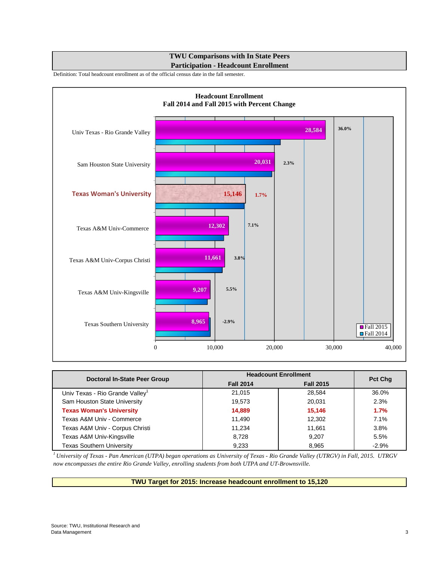## **TWU Comparisons with In State Peers Participation - Headcount Enrollment**

Definition: Total headcount enrollment as of the official census date in the fall semester.



| Doctoral In-State Peer Group     |                  | <b>Headcount Enrollment</b> |                |
|----------------------------------|------------------|-----------------------------|----------------|
|                                  | <b>Fall 2014</b> | <b>Fall 2015</b>            | <b>Pct Chg</b> |
| Univ Texas - Rio Grande Valley   | 21.015           | 28.584                      | 36.0%          |
| Sam Houston State University     | 19,573           | 20,031                      | 2.3%           |
| <b>Texas Woman's University</b>  | 14,889           | 15,146                      | 1.7%           |
| Texas A&M Univ - Commerce        | 11,490           | 12,302                      | 7.1%           |
| Texas A&M Univ - Corpus Christi  | 11.234           | 11,661                      | 3.8%           |
| Texas A&M Univ-Kingsville        | 8,728            | 9,207                       | 5.5%           |
| <b>Texas Southern University</b> | 9,233            | 8.965                       | $-2.9%$        |

*<sup>1</sup> University of Texas - Pan American (UTPA) began operations as University of Texas - Rio Grande Valley (UTRGV) in Fall, 2015. UTRGV now encompasses the entire Rio Grande Valley, enrolling students from both UTPA and UT-Brownsville.*

**TWU Target for 2015: Increase headcount enrollment to 15,120**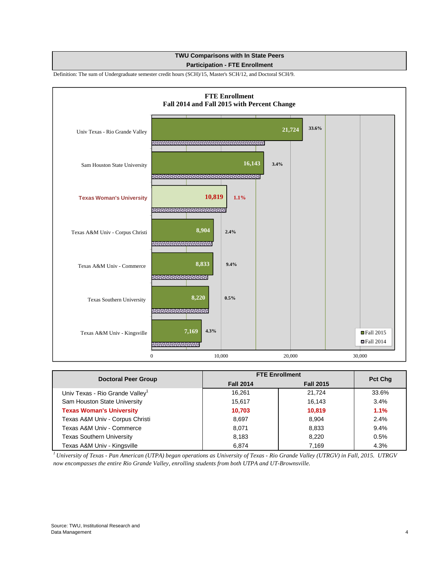# **TWU Comparisons with In State Peers**

#### **Participation - FTE Enrollment**

Definition: The sum of Undergraduate semester credit hours (SCH)/15, Master's SCH/12, and Doctoral SCH/9.



| <b>Doctoral Peer Group</b>       |                  | <b>FTE Enrollment</b> |                |
|----------------------------------|------------------|-----------------------|----------------|
|                                  | <b>Fall 2014</b> | <b>Fall 2015</b>      | <b>Pct Chg</b> |
| Univ Texas - Rio Grande Valley   | 16.261           | 21.724                | 33.6%          |
| Sam Houston State University     | 15.617           | 16,143                | 3.4%           |
| <b>Texas Woman's University</b>  | 10,703           | 10,819                | 1.1%           |
| Texas A&M Univ - Corpus Christi  | 8,697            | 8,904                 | 2.4%           |
| Texas A&M Univ - Commerce        | 8,071            | 8,833                 | 9.4%           |
| <b>Texas Southern University</b> | 8,183            | 8,220                 | 0.5%           |
| Texas A&M Univ - Kingsville      | 6.874            | 7.169                 | 4.3%           |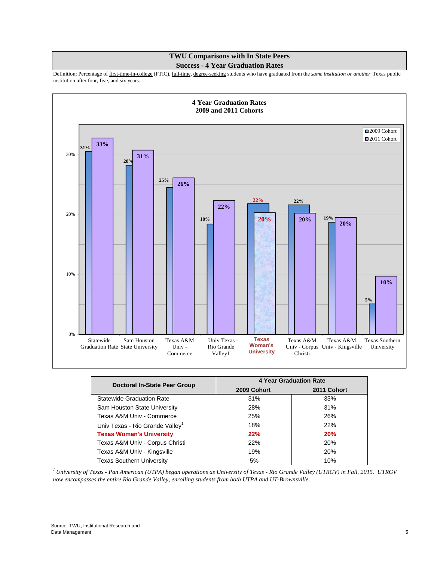#### **TWU Comparisons with In State Peers Success - 4 Year Graduation Rates**

Definition: Percentage of first-time-in-college (FTIC), full-time, degree-seeking students who have graduated from the *same institution or another* Texas public institution after four, five, and six years.



| <b>Doctoral In-State Peer Group</b>         |             | 4 Year Graduation Rate |
|---------------------------------------------|-------------|------------------------|
|                                             | 2009 Cohort | 2011 Cohort            |
| <b>Statewide Graduation Rate</b>            | 31%         | 33%                    |
| Sam Houston State University                | 28%         | 31%                    |
| Texas A&M Univ - Commerce                   | 25%         | 26%                    |
| Univ Texas - Rio Grande Valley <sup>1</sup> | 18%         | 22%                    |
| <b>Texas Woman's University</b>             | 22%         | 20%                    |
| Texas A&M Univ - Corpus Christi             | 22%         | 20%                    |
| Texas A&M Univ - Kingsville                 | 19%         | 20%                    |
| <b>Texas Southern University</b>            | 5%          | 10%                    |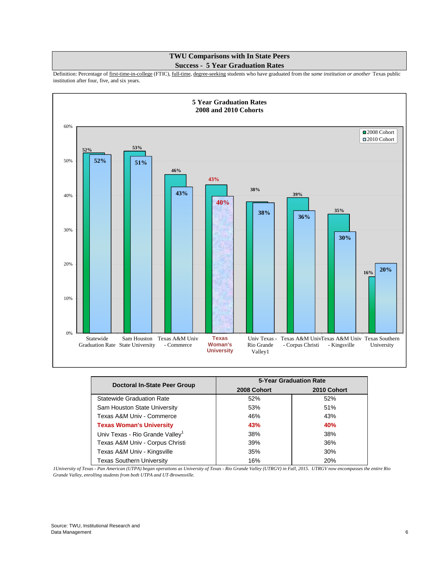## **TWU Comparisons with In State Peers Success - 5 Year Graduation Rates**

Definition: Percentage of first-time-in-college (FTIC), full-time, degree-seeking students who have graduated from the *same institution or another* Texas public institution after four, five, and six years.



| Doctoral In-State Peer Group                |             | <b>5-Year Graduation Rate</b> |
|---------------------------------------------|-------------|-------------------------------|
|                                             | 2008 Cohort | 2010 Cohort                   |
| <b>Statewide Graduation Rate</b>            | 52%         | 52%                           |
| Sam Houston State University                | 53%         | 51%                           |
| Texas A&M Univ - Commerce                   | 46%         | 43%                           |
| <b>Texas Woman's University</b>             | 43%         | 40%                           |
| Univ Texas - Rio Grande Valley <sup>1</sup> | 38%         | 38%                           |
| Texas A&M Univ - Corpus Christi             | 39%         | 36%                           |
| Texas A&M Univ - Kingsville                 | 35%         | 30%                           |
| <b>Texas Southern University</b>            | 16%         | 20%                           |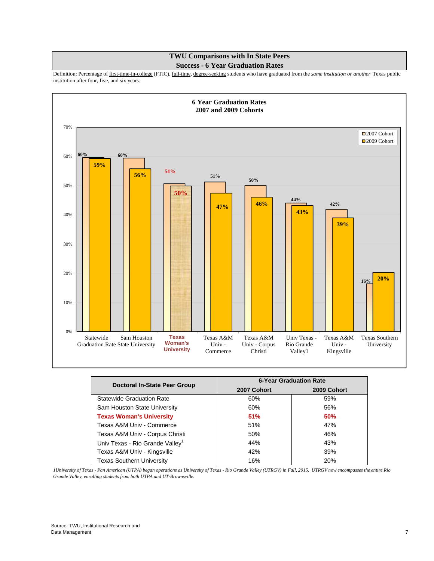## **TWU Comparisons with In State Peers Success - 6 Year Graduation Rates**

Definition: Percentage of first-time-in-college (FTIC), full-time, degree-seeking students who have graduated from the *same institution or another* Texas public institution after four, five, and six years.



| Doctoral In-State Peer Group                | <b>6-Year Graduation Rate</b><br>2007 Cohort<br>2009 Cohort |     |  |
|---------------------------------------------|-------------------------------------------------------------|-----|--|
|                                             |                                                             |     |  |
| <b>Statewide Graduation Rate</b>            | 60%                                                         | 59% |  |
| Sam Houston State University                | 60%                                                         | 56% |  |
| <b>Texas Woman's University</b>             | 51%                                                         | 50% |  |
| Texas A&M Univ - Commerce                   | 51%                                                         | 47% |  |
| Texas A&M Univ - Corpus Christi             | 50%                                                         | 46% |  |
| Univ Texas - Rio Grande Valley <sup>1</sup> | 44%                                                         | 43% |  |
| Texas A&M Univ - Kingsville                 | 42%                                                         | 39% |  |
| <b>Texas Southern University</b>            | 16%                                                         | 20% |  |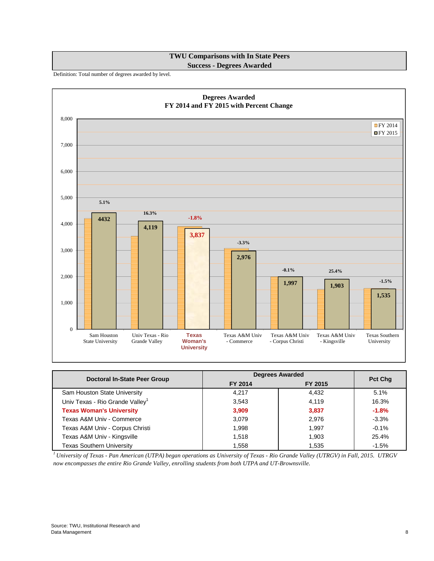**TWU Comparisons with In State Peers Success - Degrees Awarded**

Definition: Total number of degrees awarded by level.



| Doctoral In-State Peer Group                | <b>Degrees Awarded</b> |         |                |
|---------------------------------------------|------------------------|---------|----------------|
|                                             | FY 2014                | FY 2015 | <b>Pct Chg</b> |
| Sam Houston State University                | 4,217                  | 4,432   | 5.1%           |
| Univ Texas - Rio Grande Valley <sup>1</sup> | 3,543                  | 4.119   | 16.3%          |
| <b>Texas Woman's University</b>             | 3,909                  | 3,837   | $-1.8%$        |
| Texas A&M Univ - Commerce                   | 3,079                  | 2,976   | $-3.3%$        |
| Texas A&M Univ - Corpus Christi             | 1,998                  | 1.997   | $-0.1%$        |
| Texas A&M Univ - Kingsville                 | 1,518                  | 1,903   | 25.4%          |
| <b>Texas Southern University</b>            | 1.558                  | 1.535   | $-1.5%$        |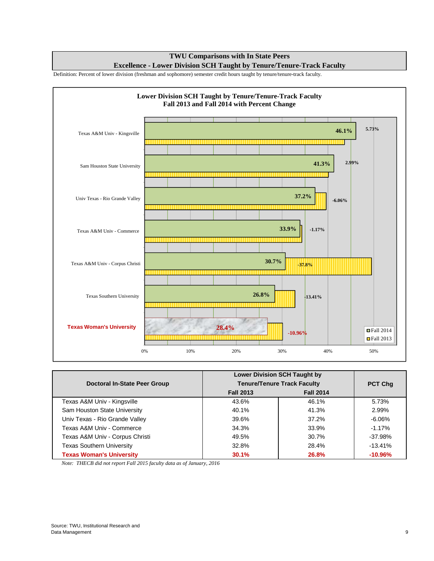**TWU Comparisons with In State Peers Excellence - Lower Division SCH Taught by Tenure/Tenure-Track Faculty**

Definition: Percent of lower division (freshman and sophomore) semester credit hours taught by tenure/tenure-track faculty.



| <b>Lower Division SCH Taught by</b> |                  |                                    |            |
|-------------------------------------|------------------|------------------------------------|------------|
| Doctoral In-State Peer Group        |                  | <b>Tenure/Tenure Track Faculty</b> |            |
|                                     | <b>Fall 2013</b> | <b>Fall 2014</b>                   |            |
| Texas A&M Univ - Kingsville         | 43.6%            | 46.1%                              | 5.73%      |
| Sam Houston State University        | 40.1%            | 41.3%                              | 2.99%      |
| Univ Texas - Rio Grande Valley      | 39.6%            | 37.2%                              | -6.06%     |
| Texas A&M Univ - Commerce           | 34.3%            | 33.9%                              | $-1.17%$   |
| Texas A&M Univ - Corpus Christi     | 49.5%            | 30.7%                              | $-37.98\%$ |
| <b>Texas Southern University</b>    | 32.8%            | 28.4%                              | $-13.41%$  |
| <b>Texas Woman's University</b>     | 30.1%            | 26.8%                              | $-10.96\%$ |

 *Note: THECB did not report Fall 2015 faculty data as of January, 2016*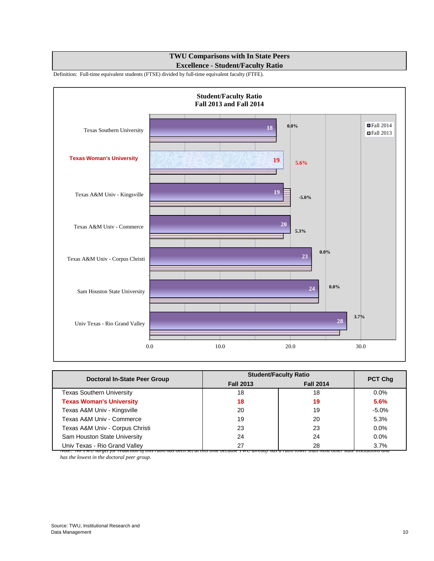## **TWU Comparisons with In State Peers Excellence - Student/Faculty Ratio**

Definition: Full-time equivalent students (FTSE) divided by full-time equivalent faculty (FTFE).



| Doctoral In-State Peer Group                                                                 |                  | <b>Student/Faculty Ratio</b> |                              |
|----------------------------------------------------------------------------------------------|------------------|------------------------------|------------------------------|
|                                                                                              | <b>Fall 2013</b> | <b>Fall 2014</b>             | <b>PCT Chg</b>               |
| <b>Texas Southern University</b>                                                             | 18               | 18                           | $0.0\%$                      |
| <b>Texas Woman's University</b>                                                              | 18               | 19                           | 5.6%                         |
| Texas A&M Univ - Kingsville                                                                  | 20               | 19                           | $-5.0%$                      |
| Texas A&M Univ - Commerce                                                                    | 19               | 20                           | 5.3%                         |
| Texas A&M Univ - Corpus Christi                                                              | 23               | 23                           | 0.0%                         |
| Sam Houston State University                                                                 | 24               | 24                           | $0.0\%$                      |
| Univ Texas - Rio Grand Valley<br><u>ivole. Tvo I w O larget f</u> or reauction of this ratio | 27               | 28                           | 3.7%<br>отет мае тмитопу апа |

 *has the lowest in the doctoral peer group.*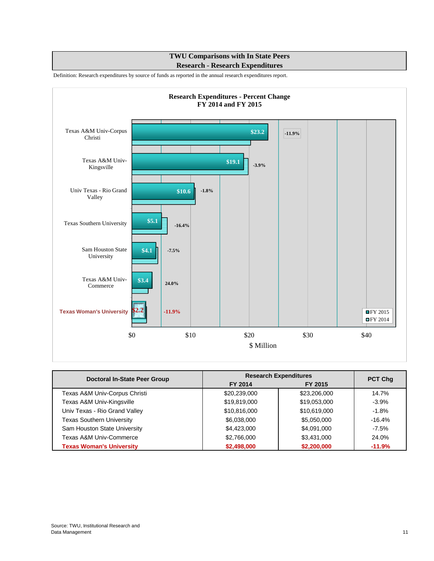# **TWU Comparisons with In State Peers Research - Research Expenditures**

Definition: Research expenditures by source of funds as reported in the annual research expenditures report.



| <b>Doctoral In-State Peer Group</b> |              | <b>Research Expenditures</b> | PCT Chg  |
|-------------------------------------|--------------|------------------------------|----------|
|                                     | FY 2014      | FY 2015                      |          |
| Texas A&M Univ-Corpus Christi       | \$20,239,000 | \$23,206,000                 | 14.7%    |
| Texas A&M Univ-Kingsville           | \$19,819,000 | \$19,053,000                 | $-3.9%$  |
| Univ Texas - Rio Grand Valley       | \$10,816,000 | \$10,619,000                 | $-1.8%$  |
| <b>Texas Southern University</b>    | \$6,038,000  | \$5,050,000                  | $-16.4%$ |
| Sam Houston State University        | \$4,423,000  | \$4,091,000                  | $-7.5%$  |
| Texas A&M Univ-Commerce             | \$2,766,000  | \$3,431,000                  | 24.0%    |
| <b>Texas Woman's University</b>     | \$2,498,000  | \$2,200,000                  | $-11.9%$ |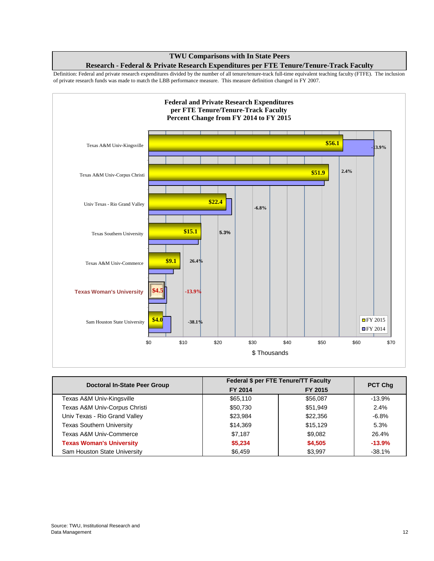Definition: Federal and private research expenditures divided by the number of all tenure/tenure-track full-time equivalent teaching faculty (FTFE). The inclusion of private research funds was made to match the LBB performance measure. This measure definition changed in FY 2007.



| Doctoral In-State Peer Group     |          | Federal \$ per FTE Tenure/TT Faculty | <b>PCT Chq</b> |
|----------------------------------|----------|--------------------------------------|----------------|
|                                  | FY 2014  | FY 2015                              |                |
| Texas A&M Univ-Kingsville        | \$65,110 | \$56,087                             | $-13.9%$       |
| Texas A&M Univ-Corpus Christi    | \$50,730 | \$51,949                             | 2.4%           |
| Univ Texas - Rio Grand Valley    | \$23,984 | \$22,356                             | $-6.8%$        |
| <b>Texas Southern University</b> | \$14,369 | \$15,129                             | 5.3%           |
| Texas A&M Univ-Commerce          | \$7,187  | \$9,082                              | 26.4%          |
| <b>Texas Woman's University</b>  | \$5,234  | \$4,505                              | $-13.9%$       |
| Sam Houston State University     | \$6,459  | \$3,997                              | $-38.1%$       |